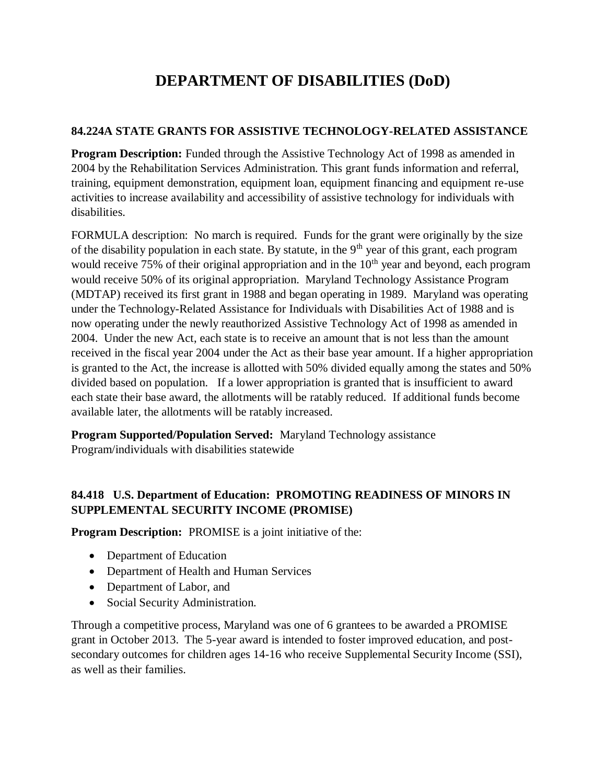## **DEPARTMENT OF DISABILITIES (DoD)**

## **84.224A STATE GRANTS FOR ASSISTIVE TECHNOLOGY-RELATED ASSISTANCE**

**Program Description:** Funded through the Assistive Technology Act of 1998 as amended in 2004 by the Rehabilitation Services Administration. This grant funds information and referral, training, equipment demonstration, equipment loan, equipment financing and equipment re-use activities to increase availability and accessibility of assistive technology for individuals with disabilities.

FORMULA description: No march is required. Funds for the grant were originally by the size of the disability population in each state. By statute, in the  $9<sup>th</sup>$  year of this grant, each program would receive 75% of their original appropriation and in the  $10<sup>th</sup>$  year and beyond, each program would receive 50% of its original appropriation. Maryland Technology Assistance Program (MDTAP) received its first grant in 1988 and began operating in 1989. Maryland was operating under the Technology-Related Assistance for Individuals with Disabilities Act of 1988 and is now operating under the newly reauthorized Assistive Technology Act of 1998 as amended in 2004. Under the new Act, each state is to receive an amount that is not less than the amount received in the fiscal year 2004 under the Act as their base year amount. If a higher appropriation is granted to the Act, the increase is allotted with 50% divided equally among the states and 50% divided based on population. If a lower appropriation is granted that is insufficient to award each state their base award, the allotments will be ratably reduced. If additional funds become available later, the allotments will be ratably increased.

**Program Supported/Population Served:** Maryland Technology assistance Program/individuals with disabilities statewide

## **84.418 U.S. Department of Education: PROMOTING READINESS OF MINORS IN SUPPLEMENTAL SECURITY INCOME (PROMISE)**

**Program Description:** PROMISE is a joint initiative of the:

- Department of Education
- Department of Health and Human Services
- Department of Labor, and
- Social Security Administration.

Through a competitive process, Maryland was one of 6 grantees to be awarded a PROMISE grant in October 2013. The 5-year award is intended to foster improved education, and postsecondary outcomes for children ages 14-16 who receive Supplemental Security Income (SSI), as well as their families.